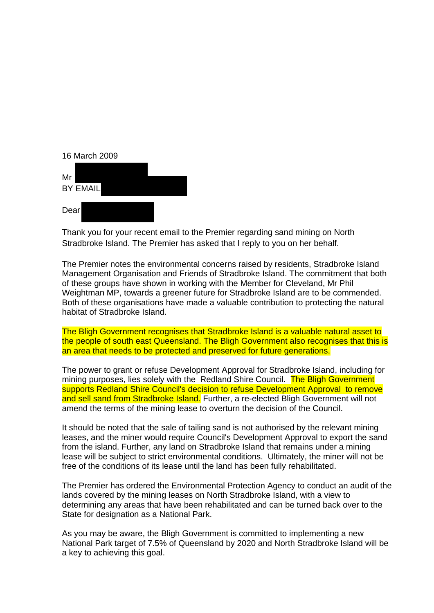| 16 March 2009   |  |
|-----------------|--|
| Mr              |  |
| <b>BY EMAIL</b> |  |
| Dear            |  |

Thank you for your recent email to the Premier regarding sand mining on North Stradbroke Island. The Premier has asked that I reply to you on her behalf.

The Premier notes the environmental concerns raised by residents, Stradbroke Island Management Organisation and Friends of Stradbroke Island. The commitment that both of these groups have shown in working with the Member for Cleveland, Mr Phil Weightman MP, towards a greener future for Stradbroke Island are to be commended. Both of these organisations have made a valuable contribution to protecting the natural habitat of Stradbroke Island.

The Bligh Government recognises that Stradbroke Island is a valuable natural asset to the people of south east Queensland. The Bligh Government also recognises that this is an area that needs to be protected and preserved for future generations.

The power to grant or refuse Development Approval for Stradbroke Island, including for mining purposes, lies solely with the Redland Shire Council. The Bligh Government supports Redland Shire Council's decision to refuse Development Approval to remove and sell sand from Stradbroke Island. Further, a re-elected Bligh Government will not amend the terms of the mining lease to overturn the decision of the Council.

It should be noted that the sale of tailing sand is not authorised by the relevant mining leases, and the miner would require Council's Development Approval to export the sand from the island. Further, any land on Stradbroke Island that remains under a mining lease will be subject to strict environmental conditions. Ultimately, the miner will not be free of the conditions of its lease until the land has been fully rehabilitated.

The Premier has ordered the Environmental Protection Agency to conduct an audit of the lands covered by the mining leases on North Stradbroke Island, with a view to determining any areas that have been rehabilitated and can be turned back over to the State for designation as a National Park.

As you may be aware, the Bligh Government is committed to implementing a new National Park target of 7.5% of Queensland by 2020 and North Stradbroke Island will be a key to achieving this goal.